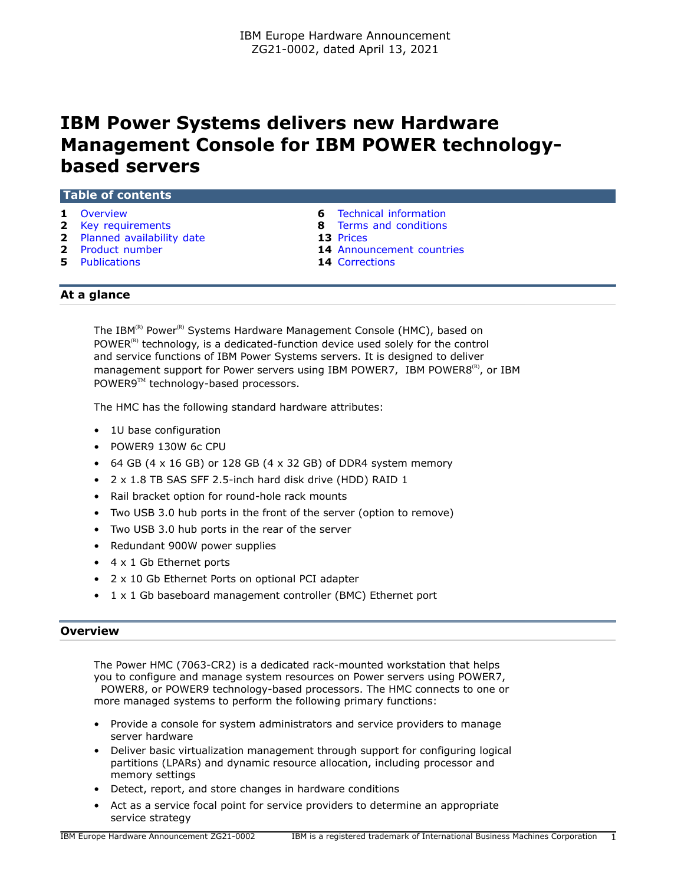# **IBM Power Systems delivers new Hardware Management Console for IBM POWER technologybased servers**

| <b>Table of contents</b> |  |  |  |
|--------------------------|--|--|--|
|                          |  |  |  |
|                          |  |  |  |

- 
- 
- **2** [Planned availability date](#page-1-1) **13** [Prices](#page-12-0)
- 
- **5** [Publications](#page-4-0) **14** [Corrections](#page-13-1)
- **1** [Overview](#page-0-0) **6** [Technical information](#page-5-0)
- **2** [Key requirements](#page-1-0) **8** [Terms and conditions](#page-7-0)
	-
- **2** [Product number](#page-1-2) **14** [Announcement countries](#page-13-0)
	-

## **At a glance**

The IBM<sup>(R)</sup> Power<sup>(R)</sup> Systems Hardware Management Console (HMC), based on POWER $<sup>(R)</sup>$  technology, is a dedicated-function device used solely for the control</sup> and service functions of IBM Power Systems servers. It is designed to deliver management support for Power servers using IBM POWER7, IBM POWER8 $^{(R)}$ , or IBM POWER9™ technology-based processors.

The HMC has the following standard hardware attributes:

- 1U base configuration
- POWER9 130W 6c CPU
- 64 GB (4  $\times$  16 GB) or 128 GB (4  $\times$  32 GB) of DDR4 system memory
- 2 x 1.8 TB SAS SFF 2.5-inch hard disk drive (HDD) RAID 1
- Rail bracket option for round-hole rack mounts
- Two USB 3.0 hub ports in the front of the server (option to remove)
- Two USB 3.0 hub ports in the rear of the server
- Redundant 900W power supplies
- 4 x 1 Gb Ethernet ports
- 2 x 10 Gb Ethernet Ports on optional PCI adapter
- 1 x 1 Gb baseboard management controller (BMC) Ethernet port

#### <span id="page-0-0"></span>**Overview**

The Power HMC (7063-CR2) is a dedicated rack-mounted workstation that helps you to configure and manage system resources on Power servers using POWER7, POWER8, or POWER9 technology-based processors. The HMC connects to one or more managed systems to perform the following primary functions:

- Provide a console for system administrators and service providers to manage server hardware
- Deliver basic virtualization management through support for configuring logical partitions (LPARs) and dynamic resource allocation, including processor and memory settings
- Detect, report, and store changes in hardware conditions
- Act as a service focal point for service providers to determine an appropriate service strategy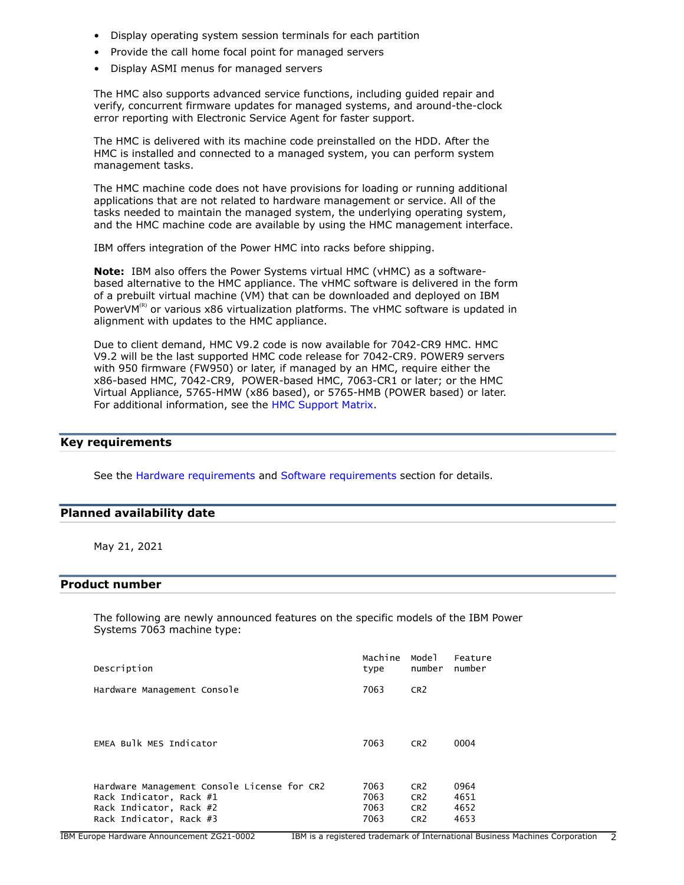- Display operating system session terminals for each partition
- Provide the call home focal point for managed servers
- Display ASMI menus for managed servers

The HMC also supports advanced service functions, including guided repair and verify, concurrent firmware updates for managed systems, and around-the-clock error reporting with Electronic Service Agent for faster support.

The HMC is delivered with its machine code preinstalled on the HDD. After the HMC is installed and connected to a managed system, you can perform system management tasks.

The HMC machine code does not have provisions for loading or running additional applications that are not related to hardware management or service. All of the tasks needed to maintain the managed system, the underlying operating system, and the HMC machine code are available by using the HMC management interface.

IBM offers integration of the Power HMC into racks before shipping.

**Note:** IBM also offers the Power Systems virtual HMC (vHMC) as a softwarebased alternative to the HMC appliance. The vHMC software is delivered in the form of a prebuilt virtual machine (VM) that can be downloaded and deployed on IBM PowerVM $<sup>(R)</sup>$  or various x86 virtualization platforms. The vHMC software is updated in</sup> alignment with updates to the HMC appliance.

Due to client demand, HMC V9.2 code is now available for 7042-CR9 HMC. HMC V9.2 will be the last supported HMC code release for 7042-CR9. POWER9 servers with 950 firmware (FW950) or later, if managed by an HMC, require either the x86-based HMC, 7042-CR9, POWER-based HMC, 7063-CR1 or later; or the HMC Virtual Appliance, 5765-HMW (x86 based), or 5765-HMB (POWER based) or later. For additional information, see the [HMC Support Matrix](https://www14.software.ibm.com/webapp/set2/flrt/sas?page=mtm-supported-hmc).

# <span id="page-1-0"></span>**Key requirements**

See the [Hardware requirements](#page-5-1) and [Software requirements](#page-5-2) section for details.

### <span id="page-1-1"></span>**Planned availability date**

May 21, 2021

## <span id="page-1-2"></span>**Product number**

The following are newly announced features on the specific models of the IBM Power Systems 7063 machine type:

| Description                                 | Machine<br>type | Mode 1<br>number | Feature<br>number |
|---------------------------------------------|-----------------|------------------|-------------------|
| Hardware Management Console                 | 7063            | CR <sub>2</sub>  |                   |
|                                             |                 |                  |                   |
| EMEA Bulk MES Indicator                     | 7063            | CR <sub>2</sub>  | 0004              |
|                                             |                 |                  |                   |
| Hardware Management Console License for CR2 | 7063            | CR <sub>2</sub>  | 0964              |
| Rack Indicator, Rack #1                     | 7063            | CR <sub>2</sub>  | 4651              |
| Rack Indicator, Rack #2                     | 7063            | CR <sub>2</sub>  | 4652              |
| Rack Indicator, Rack #3                     | 7063            | CR <sub>2</sub>  | 4653              |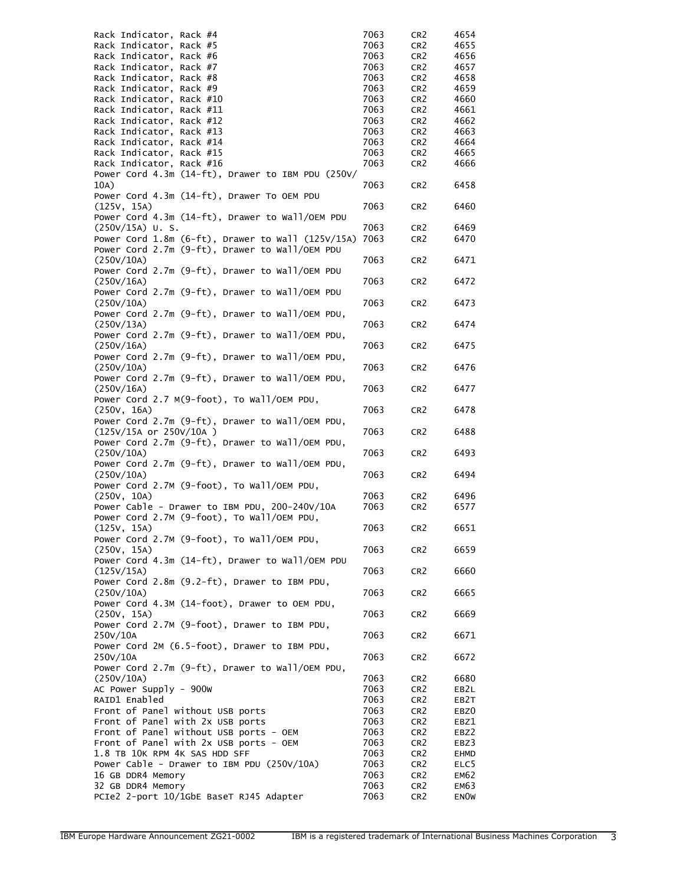| Rack Indicator, Rack #4                                                    | 7063         | CR <sub>2</sub>                    | 4654         |
|----------------------------------------------------------------------------|--------------|------------------------------------|--------------|
| Rack Indicator, Rack #5                                                    | 7063         | CR <sub>2</sub>                    | 4655         |
| Rack Indicator, Rack #6                                                    | 7063         | CR <sub>2</sub>                    | 4656         |
| Rack Indicator, Rack #7                                                    | 7063         | CR <sub>2</sub>                    | 4657         |
| Rack Indicator, Rack #8<br>Rack Indicator, Rack #9                         | 7063<br>7063 | CR <sub>2</sub>                    | 4658<br>4659 |
| Rack Indicator, Rack #10                                                   | 7063         | CR <sub>2</sub><br>CR <sub>2</sub> | 4660         |
| Rack Indicator, Rack #11                                                   | 7063         | CR <sub>2</sub>                    | 4661         |
| Rack Indicator, Rack #12                                                   | 7063         | CR <sub>2</sub>                    | 4662         |
| Rack Indicator, Rack #13                                                   | 7063         | CR <sub>2</sub>                    | 4663         |
| Rack Indicator, Rack #14                                                   | 7063         | CR <sub>2</sub>                    | 4664         |
| Rack Indicator, Rack #15                                                   | 7063         | CR <sub>2</sub>                    | 4665         |
| Rack Indicator, Rack #16                                                   | 7063         | CR <sub>2</sub>                    | 4666         |
| Power Cord 4.3m (14-ft), Drawer to IBM PDU (250V/                          |              |                                    |              |
| 10A)                                                                       | 7063         | CR <sub>2</sub>                    | 6458         |
| Power Cord 4.3m (14-ft), Drawer To OEM PDU                                 |              |                                    |              |
| (125V, 15A)                                                                | 7063         | CR <sub>2</sub>                    | 6460         |
| Power Cord 4.3m (14-ft), Drawer to Wall/OEM PDU                            |              |                                    |              |
| $(250V/15A)$ U.S.                                                          | 7063         | CR <sub>2</sub>                    | 6469         |
| Power Cord 1.8m $(6-ft)$ , Drawer to Wall $(125V/15A)$                     | 7063         | CR <sub>2</sub>                    | 6470         |
| Power Cord 2.7m (9-ft), Drawer to Wall/OEM PDU                             |              |                                    |              |
| (250V/10A)<br>Power Cord 2.7m $(9-ft)$ , Drawer to Wall/OEM PDU            | 7063         | CR <sub>2</sub>                    | 6471         |
| (250V/16A)                                                                 | 7063         | CR <sub>2</sub>                    | 6472         |
| Power Cord 2.7m (9-ft), Drawer to Wall/OEM PDU                             |              |                                    |              |
| (250V/10A)                                                                 | 7063         | CR <sub>2</sub>                    | 6473         |
| Power Cord 2.7m (9-ft), Drawer to Wall/OEM PDU,                            |              |                                    |              |
| (250V/13A)                                                                 | 7063         | CR <sub>2</sub>                    | 6474         |
| Power Cord 2.7m (9-ft), Drawer to Wall/OEM PDU,                            |              |                                    |              |
| (250V/16A)                                                                 | 7063         | CR <sub>2</sub>                    | 6475         |
| Power Cord 2.7m (9-ft), Drawer to Wall/OEM PDU,                            |              |                                    |              |
| (250V/10A)                                                                 | 7063         | CR <sub>2</sub>                    | 6476         |
| Power Cord 2.7m (9-ft), Drawer to Wall/OEM PDU,                            |              |                                    |              |
| (250V/16A)                                                                 | 7063         | CR <sub>2</sub>                    | 6477         |
| Power Cord 2.7 M(9-foot), To Wall/OEM PDU,                                 |              |                                    |              |
| (250V, 16A)                                                                | 7063         | CR <sub>2</sub>                    | 6478         |
| Power Cord 2.7m (9-ft), Drawer to Wall/OEM PDU,<br>(125V/15A or 250V/10A ) | 7063         | CR <sub>2</sub>                    | 6488         |
| Power Cord 2.7m (9-ft), Drawer to Wall/OEM PDU,                            |              |                                    |              |
| (250V/10A)                                                                 | 7063         | CR <sub>2</sub>                    | 6493         |
| Power Cord 2.7m (9-ft), Drawer to Wall/OEM PDU,                            |              |                                    |              |
| (250V/10A)                                                                 | 7063         | CR <sub>2</sub>                    | 6494         |
| Power Cord 2.7M (9-foot), To Wall/OEM PDU,                                 |              |                                    |              |
| (250V, 10A)                                                                | 7063         | CR <sub>2</sub>                    | 6496         |
| Power Cable - Drawer to IBM PDU, 200-240V/10A                              | 7063         | CR <sub>2</sub>                    | 6577         |
| Power Cord 2.7M (9-foot), To Wall/OEM PDU,                                 |              |                                    |              |
| (125V, 15A)                                                                | 7063         | CR <sub>2</sub>                    | 6651         |
| Power Cord 2.7M (9-foot), To Wall/OEM PDU,                                 |              |                                    |              |
| (250V, 15A)                                                                | 7063         | CR <sub>2</sub>                    | 6659         |
| Power Cord 4.3m (14-ft), Drawer to Wall/OEM PDU                            |              |                                    |              |
| (125V/15A)                                                                 | 7063         | CR <sub>2</sub>                    | 6660         |
| Power Cord 2.8m (9.2-ft), Drawer to IBM PDU,                               |              |                                    |              |
| (250V/10A)                                                                 | 7063         | CR <sub>2</sub>                    | 6665         |
| Power Cord 4.3M (14-foot), Drawer to OEM PDU,                              | 7063         |                                    |              |
| (250V, 15A)<br>Power Cord 2.7M (9-foot), Drawer to IBM PDU,                |              | CR <sub>2</sub>                    | 6669         |
| 250V/10A                                                                   | 7063         | CR <sub>2</sub>                    | 6671         |
| Power Cord 2M (6.5-foot), Drawer to IBM PDU,                               |              |                                    |              |
| 250V/10A                                                                   | 7063         | CR <sub>2</sub>                    | 6672         |
| Power Cord 2.7m (9-ft), Drawer to Wall/OEM PDU,                            |              |                                    |              |
| (250V/10A)                                                                 | 7063         | CR <sub>2</sub>                    | 6680         |
| AC Power Supply - 900W                                                     | 7063         | CR <sub>2</sub>                    | EB2L         |
| RAID1 Enabled                                                              | 7063         | CR <sub>2</sub>                    | EB2T         |
| Front of Panel without USB ports                                           | 7063         | CR <sub>2</sub>                    | EBZ0         |
| Front of Panel with 2x USB ports                                           | 7063         | CR <sub>2</sub>                    | EBZ1         |
| Front of Panel without USB ports - OEM                                     | 7063         | CR <sub>2</sub>                    | EBZ2         |
| Front of Panel with 2x USB ports - OEM                                     | 7063         | CR <sub>2</sub>                    | EBZ3         |
| 1.8 TB 10K RPM 4K SAS HDD SFF                                              | 7063         | CR <sub>2</sub>                    | EHMD         |
| Power Cable - Drawer to IBM PDU (250V/10A)                                 | 7063         | CR <sub>2</sub>                    | ELC5         |
| 16 GB DDR4 Memory                                                          | 7063         | CR <sub>2</sub>                    | EM62         |
| 32 GB DDR4 Memory                                                          | 7063         | CR <sub>2</sub>                    | EM63         |
| PCIe2 2-port 10/1GbE BaseT RJ45 Adapter                                    | 7063         | CR <sub>2</sub>                    | <b>ENOW</b>  |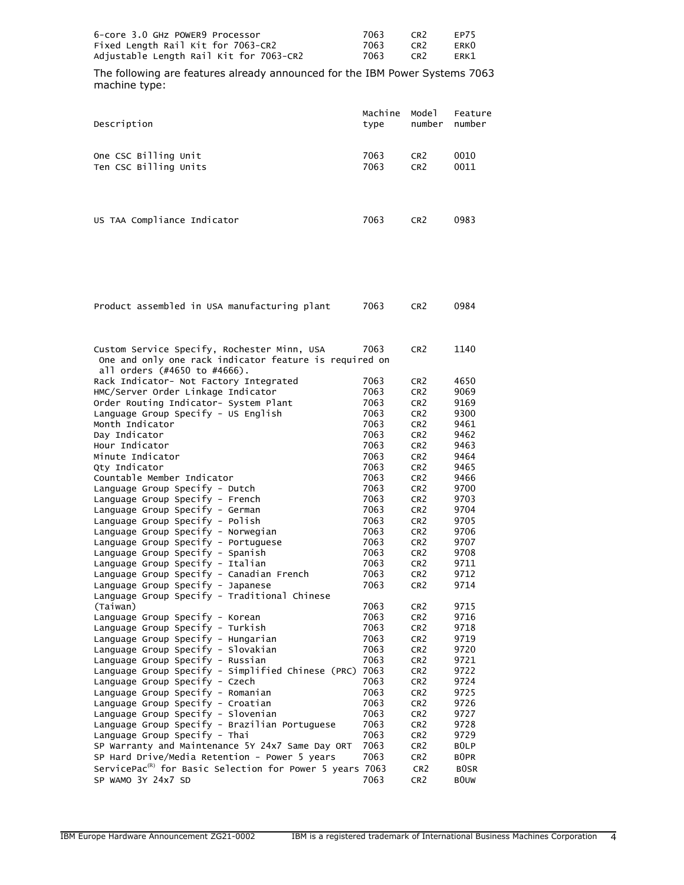| 6-core 3.0 GHz POWER9 Processor         | 7063 | CR <sub>2</sub> | FP75 |
|-----------------------------------------|------|-----------------|------|
| Fixed Length Rail Kit for 7063-CR2      | 7063 | CR <sub>2</sub> | ERK0 |
| Adjustable Length Rail Kit for 7063-CR2 | 7063 | CR <sub>2</sub> | ERK1 |

The following are features already announced for the IBM Power Systems 7063 machine type:

| Description                                                                                                                           | Machine | Mode1           | Feature |
|---------------------------------------------------------------------------------------------------------------------------------------|---------|-----------------|---------|
|                                                                                                                                       | type    | number          | number  |
| One CSC Billing Unit                                                                                                                  | 7063    | CR <sub>2</sub> | 0010    |
| Ten CSC Billing Units                                                                                                                 | 7063    | CR <sub>2</sub> | 0011    |
| US TAA Compliance Indicator                                                                                                           | 7063    | CR <sub>2</sub> | 0983    |
| Product assembled in USA manufacturing plant                                                                                          | 7063    | CR <sub>2</sub> | 0984    |
| Custom Service Specify, Rochester Minn, USA<br>One and only one rack indicator feature is required on<br>all orders (#4650 to #4666). | 7063    | CR <sub>2</sub> | 1140    |
| Rack Indicator- Not Factory Integrated                                                                                                | 7063    | CR <sub>2</sub> | 4650    |
| HMC/Server Order Linkage Indicator                                                                                                    | 7063    | CR <sub>2</sub> | 9069    |
| Order Routing Indicator- System Plant                                                                                                 | 7063    | CR <sub>2</sub> | 9169    |
|                                                                                                                                       | ラヘアつ    | $\sim$          | 0.200   |

| all orders (#4650 to #4666).                                         |      |                 |                  |
|----------------------------------------------------------------------|------|-----------------|------------------|
| Rack Indicator- Not Factory Integrated                               | 7063 | CR <sub>2</sub> | 4650             |
| HMC/Server Order Linkage Indicator                                   | 7063 | CR <sub>2</sub> | 9069             |
| Order Routing Indicator- System Plant                                | 7063 | CR <sub>2</sub> | 9169             |
| Language Group Specify - US English                                  | 7063 | CR <sub>2</sub> | 9300             |
| Month Indicator                                                      | 7063 | CR <sub>2</sub> | 9461             |
| Day Indicator                                                        | 7063 | CR <sub>2</sub> | 9462             |
| Hour Indicator                                                       | 7063 | CR <sub>2</sub> | 9463             |
| Minute Indicator                                                     | 7063 | CR <sub>2</sub> | 9464             |
| Qty Indicator                                                        | 7063 | CR <sub>2</sub> | 9465             |
| Countable Member Indicator                                           | 7063 | CR <sub>2</sub> | 9466             |
| Language Group Specify - Dutch                                       | 7063 | CR <sub>2</sub> | 9700             |
| Language Group Specify - French                                      | 7063 | CR <sub>2</sub> | 9703             |
| Language Group Specify - German                                      | 7063 | CR <sub>2</sub> | 9704             |
| Language Group Specify - Polish                                      | 7063 | CR <sub>2</sub> | 9705             |
| Language Group Specify - Norwegian                                   | 7063 | CR <sub>2</sub> | 9706             |
| Language Group Specify - Portuguese                                  | 7063 | CR <sub>2</sub> | 9707             |
| Language Group Specify - Spanish                                     | 7063 | CR <sub>2</sub> | 9708             |
| Language Group Specify - Italian                                     | 7063 | CR <sub>2</sub> | 9711             |
| Language Group Specify - Canadian French                             | 7063 | CR <sub>2</sub> | 9712             |
| Language Group Specify - Japanese                                    | 7063 | CR <sub>2</sub> | 9714             |
| Language Group Specify - Traditional Chinese                         |      |                 |                  |
| (Taiwan)                                                             | 7063 | CR <sub>2</sub> | 9715             |
| Language Group Specify - Korean                                      | 7063 | CR <sub>2</sub> | 9716             |
| Language Group Specify - Turkish                                     | 7063 | CR <sub>2</sub> | 9718             |
| Language Group Specify - Hungarian                                   | 7063 | CR <sub>2</sub> | 9719             |
| Language Group Specify - Slovakian                                   | 7063 | CR <sub>2</sub> | 9720             |
| Language Group Specify - Russian                                     | 7063 | CR <sub>2</sub> | 9721             |
| Language Group Specify - Simplified Chinese (PRC)                    | 7063 | CR <sub>2</sub> | 9722             |
| Language Group Specify - Czech                                       | 7063 | CR <sub>2</sub> | 9724             |
| Language Group Specify - Romanian                                    | 7063 | CR <sub>2</sub> | 9725             |
| Language Group Specify - Croatian                                    | 7063 | CR <sub>2</sub> | 9726             |
| Language Group Specify - Slovenian                                   | 7063 | CR <sub>2</sub> | 9727             |
| Language Group Specify - Brazilian Portuguese                        | 7063 | CR <sub>2</sub> | 9728             |
| Language Group Specify - Thai                                        | 7063 | CR <sub>2</sub> | 9729             |
| SP Warranty and Maintenance 5Y 24x7 Same Day ORT                     | 7063 | CR <sub>2</sub> | BOLP             |
| SP Hard Drive/Media Retention - Power 5 years                        | 7063 | CR <sub>2</sub> | B <sub>OPR</sub> |
| ServicePac <sup>(R)</sup> for Basic Selection for Power 5 years 7063 |      | CR <sub>2</sub> | <b>BOSR</b>      |
| SP WAMO 3Y 24x7 SD                                                   | 7063 | CR <sub>2</sub> | <b>BOUW</b>      |
|                                                                      |      |                 |                  |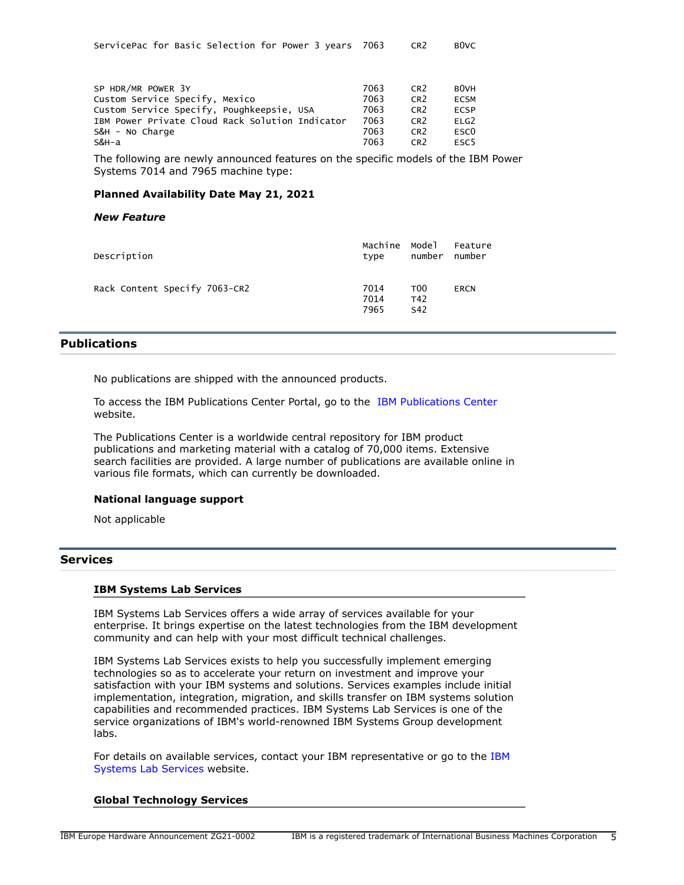| ServicePac for Basic Selection for Power 3 years  7063 |  |  |  |  |  |  |  |  | CR2 | BOVC |
|--------------------------------------------------------|--|--|--|--|--|--|--|--|-----|------|
|--------------------------------------------------------|--|--|--|--|--|--|--|--|-----|------|

| SP HDR/MR POWER 3Y                              | 7063 | CR <sub>2</sub> | <b>BOVH</b>      |
|-------------------------------------------------|------|-----------------|------------------|
| Custom Service Specify, Mexico                  | 7063 | CR <sub>2</sub> | <b>ECSM</b>      |
| Custom Service Specify, Poughkeepsie, USA       | 7063 | CR <sub>2</sub> | <b>FCSP</b>      |
| IBM Power Private Cloud Rack Solution Indicator | 7063 | CR <sub>2</sub> | ELG <sub>2</sub> |
| S&H - No Charge                                 | 7063 | CR <sub>2</sub> | ESC <sub>0</sub> |
| S&H-a                                           | 7063 | CR <sub>2</sub> | ESC <sub>5</sub> |

The following are newly announced features on the specific models of the IBM Power Systems 7014 and 7965 machine type:

#### **Planned Availability Date May 21, 2021**

#### *New Feature*

| Description                   | Machine Model<br>type | number                                    | Feature<br>number |
|-------------------------------|-----------------------|-------------------------------------------|-------------------|
| Rack Content Specify 7063-CR2 | 7014<br>7014<br>7965  | T <sub>00</sub><br>T42<br>S <sub>42</sub> | <b>ERCN</b>       |

# <span id="page-4-0"></span>**Publications**

No publications are shipped with the announced products.

To access the IBM Publications Center Portal, go to the [IBM Publications Center](https://www.ibm.com/resources/publications) website.

The Publications Center is a worldwide central repository for IBM product publications and marketing material with a catalog of 70,000 items. Extensive search facilities are provided. A large number of publications are available online in various file formats, which can currently be downloaded.

#### **National language support**

Not applicable

# **Services**

#### **IBM Systems Lab Services**

IBM Systems Lab Services offers a wide array of services available for your enterprise. It brings expertise on the latest technologies from the IBM development community and can help with your most difficult technical challenges.

IBM Systems Lab Services exists to help you successfully implement emerging technologies so as to accelerate your return on investment and improve your satisfaction with your IBM systems and solutions. Services examples include initial implementation, integration, migration, and skills transfer on IBM systems solution capabilities and recommended practices. IBM Systems Lab Services is one of the service organizations of IBM's world-renowned IBM Systems Group development labs.

For details on available services, contact your IBM representative or go to the [IBM](https://www.ibm.com/it-infrastructure/services/lab-services) [Systems Lab Services](https://www.ibm.com/it-infrastructure/services/lab-services) website.

#### **Global Technology Services**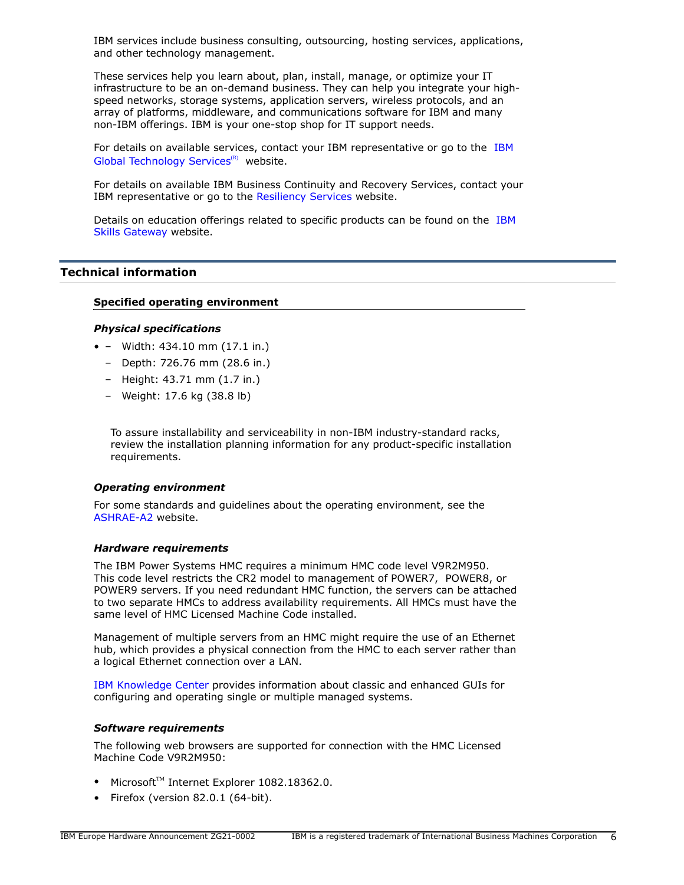IBM services include business consulting, outsourcing, hosting services, applications, and other technology management.

These services help you learn about, plan, install, manage, or optimize your IT infrastructure to be an on-demand business. They can help you integrate your highspeed networks, storage systems, application servers, wireless protocols, and an array of platforms, middleware, and communications software for IBM and many non-IBM offerings. IBM is your one-stop shop for IT support needs.

For details on available services, contact your IBM representative or go to the [IBM](http://www.ibm.com/services/) [Global Technology Services](http://www.ibm.com/services/)<sup>(R)</sup> website.

For details on available IBM Business Continuity and Recovery Services, contact your IBM representative or go to the [Resiliency Services](http://www.ibm.com/services/continuity) website.

Details on education offerings related to specific products can be found on the [IBM](http://www.ibm.com/training) [Skills Gateway](http://www.ibm.com/training) website.

# <span id="page-5-0"></span>**Technical information**

### **Specified operating environment**

#### *Physical specifications*

- – Width: 434.10 mm (17.1 in.)
	- Depth: 726.76 mm (28.6 in.)
	- Height: 43.71 mm (1.7 in.)
	- Weight: 17.6 kg (38.8 lb)

To assure installability and serviceability in non-IBM industry-standard racks, review the installation planning information for any product-specific installation requirements.

## *Operating environment*

For some standards and guidelines about the operating environment, see the [ASHRAE-A2](https://www.ashrae.org/standards-research--technology/standards--guidelines) website.

#### <span id="page-5-1"></span>*Hardware requirements*

The IBM Power Systems HMC requires a minimum HMC code level V9R2M950. This code level restricts the CR2 model to management of POWER7, POWER8, or POWER9 servers. If you need redundant HMC function, the servers can be attached to two separate HMCs to address availability requirements. All HMCs must have the same level of HMC Licensed Machine Code installed.

Management of multiple servers from an HMC might require the use of an Ethernet hub, which provides a physical connection from the HMC to each server rather than a logical Ethernet connection over a LAN.

[IBM Knowledge Center](https://www.ibm.com/support/knowledgecenter/POWER8/p8ha1/p8ha1_kickoff.htm) provides information about classic and enhanced GUIs for configuring and operating single or multiple managed systems.

#### <span id="page-5-2"></span>*Software requirements*

The following web browsers are supported for connection with the HMC Licensed Machine Code V9R2M950:

- Microsoft $T^M$  Internet Explorer 1082.18362.0.
- Firefox (version 82.0.1 (64-bit).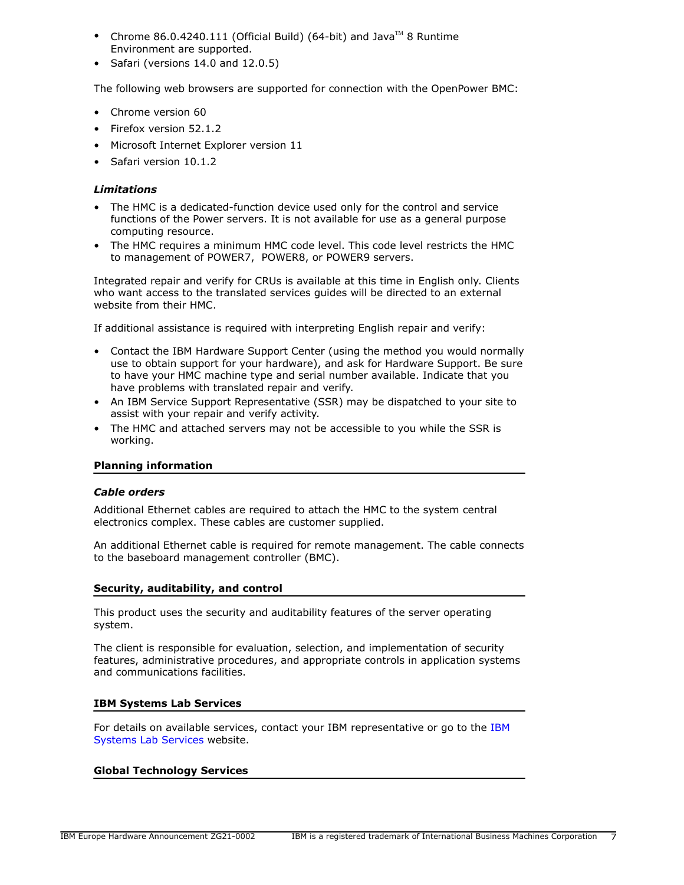- Chrome 86.0.4240.111 (Official Build) (64-bit) and Java $\mathbb{I}^{\mathbb{M}}$  8 Runtime Environment are supported.
- Safari (versions 14.0 and 12.0.5)

The following web browsers are supported for connection with the OpenPower BMC:

- Chrome version 60
- Firefox version 52.1.2
- Microsoft Internet Explorer version 11
- Safari version 10.1.2

## *Limitations*

- The HMC is a dedicated-function device used only for the control and service functions of the Power servers. It is not available for use as a general purpose computing resource.
- The HMC requires a minimum HMC code level. This code level restricts the HMC to management of POWER7, POWER8, or POWER9 servers.

Integrated repair and verify for CRUs is available at this time in English only. Clients who want access to the translated services guides will be directed to an external website from their HMC.

If additional assistance is required with interpreting English repair and verify:

- Contact the IBM Hardware Support Center (using the method you would normally use to obtain support for your hardware), and ask for Hardware Support. Be sure to have your HMC machine type and serial number available. Indicate that you have problems with translated repair and verify.
- An IBM Service Support Representative (SSR) may be dispatched to your site to assist with your repair and verify activity.
- The HMC and attached servers may not be accessible to you while the SSR is working.

## **Planning information**

#### *Cable orders*

Additional Ethernet cables are required to attach the HMC to the system central electronics complex. These cables are customer supplied.

An additional Ethernet cable is required for remote management. The cable connects to the baseboard management controller (BMC).

#### **Security, auditability, and control**

This product uses the security and auditability features of the server operating system.

The client is responsible for evaluation, selection, and implementation of security features, administrative procedures, and appropriate controls in application systems and communications facilities.

## **IBM Systems Lab Services**

For details on available services, contact your IBM representative or go to the [IBM](https://www.ibm.com/it-infrastructure/services/lab-services) [Systems Lab Services](https://www.ibm.com/it-infrastructure/services/lab-services) website.

## **Global Technology Services**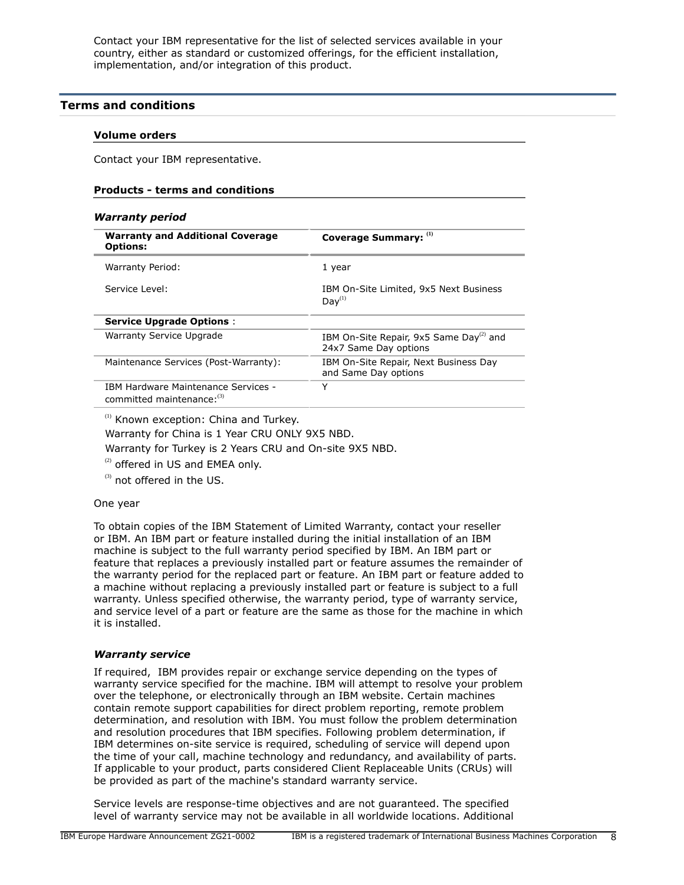Contact your IBM representative for the list of selected services available in your country, either as standard or customized offerings, for the efficient installation, implementation, and/or integration of this product.

## <span id="page-7-0"></span>**Terms and conditions**

#### **Volume orders**

Contact your IBM representative.

#### **Products - terms and conditions**

#### *Warranty period*

| <b>Warranty and Additional Coverage</b><br><b>Options:</b>        | Coverage Summary: (1)                                                        |
|-------------------------------------------------------------------|------------------------------------------------------------------------------|
| Warranty Period:                                                  | 1 year                                                                       |
| Service Level:                                                    | IBM On-Site Limited, 9x5 Next Business<br>Day <sup>(1)</sup>                 |
| <b>Service Upgrade Options:</b>                                   |                                                                              |
| Warranty Service Upgrade                                          | IBM On-Site Repair, 9x5 Same Day <sup>(2)</sup> and<br>24x7 Same Day options |
| Maintenance Services (Post-Warranty):                             | IBM On-Site Repair, Next Business Day<br>and Same Day options                |
| IBM Hardware Maintenance Services -<br>committed maintenance: (3) | Υ                                                                            |
|                                                                   |                                                                              |

<sup>(1)</sup> Known exception: China and Turkey.

Warranty for China is 1 Year CRU ONLY 9X5 NBD.

Warranty for Turkey is 2 Years CRU and On-site 9X5 NBD.

 $(2)$  offered in US and EMEA only.

(3) not offered in the US.

#### One year

To obtain copies of the IBM Statement of Limited Warranty, contact your reseller or IBM. An IBM part or feature installed during the initial installation of an IBM machine is subject to the full warranty period specified by IBM. An IBM part or feature that replaces a previously installed part or feature assumes the remainder of the warranty period for the replaced part or feature. An IBM part or feature added to a machine without replacing a previously installed part or feature is subject to a full warranty. Unless specified otherwise, the warranty period, type of warranty service, and service level of a part or feature are the same as those for the machine in which it is installed.

#### *Warranty service*

If required, IBM provides repair or exchange service depending on the types of warranty service specified for the machine. IBM will attempt to resolve your problem over the telephone, or electronically through an IBM website. Certain machines contain remote support capabilities for direct problem reporting, remote problem determination, and resolution with IBM. You must follow the problem determination and resolution procedures that IBM specifies. Following problem determination, if IBM determines on-site service is required, scheduling of service will depend upon the time of your call, machine technology and redundancy, and availability of parts. If applicable to your product, parts considered Client Replaceable Units (CRUs) will be provided as part of the machine's standard warranty service.

Service levels are response-time objectives and are not guaranteed. The specified level of warranty service may not be available in all worldwide locations. Additional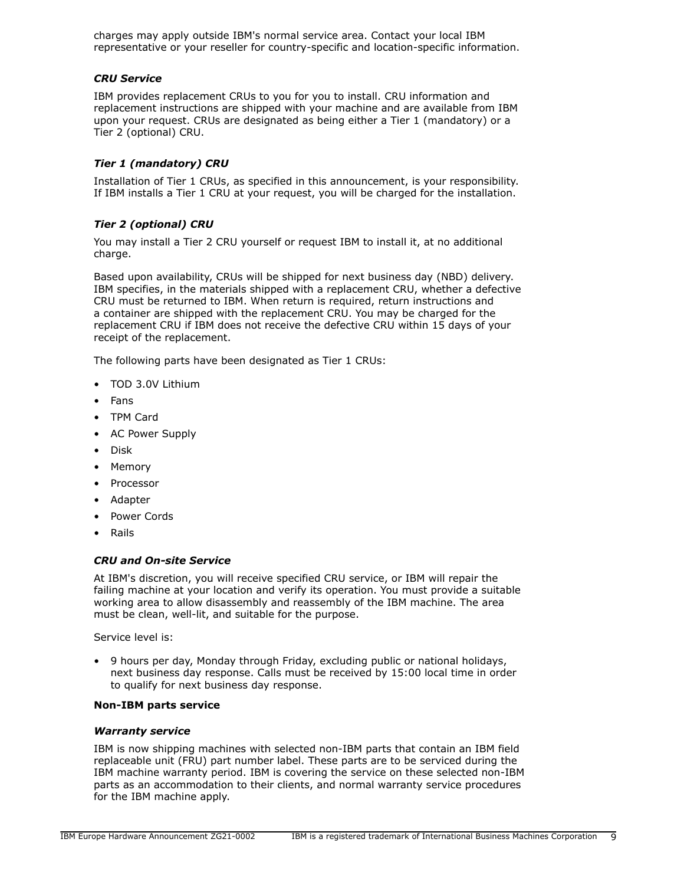charges may apply outside IBM's normal service area. Contact your local IBM representative or your reseller for country-specific and location-specific information.

#### *CRU Service*

IBM provides replacement CRUs to you for you to install. CRU information and replacement instructions are shipped with your machine and are available from IBM upon your request. CRUs are designated as being either a Tier 1 (mandatory) or a Tier 2 (optional) CRU.

# *Tier 1 (mandatory) CRU*

Installation of Tier 1 CRUs, as specified in this announcement, is your responsibility. If IBM installs a Tier 1 CRU at your request, you will be charged for the installation.

# *Tier 2 (optional) CRU*

You may install a Tier 2 CRU yourself or request IBM to install it, at no additional charge.

Based upon availability, CRUs will be shipped for next business day (NBD) delivery. IBM specifies, in the materials shipped with a replacement CRU, whether a defective CRU must be returned to IBM. When return is required, return instructions and a container are shipped with the replacement CRU. You may be charged for the replacement CRU if IBM does not receive the defective CRU within 15 days of your receipt of the replacement.

The following parts have been designated as Tier 1 CRUs:

- TOD 3.0V Lithium
- Fans
- TPM Card
- AC Power Supply
- Disk
- **Memory**
- **Processor**
- Adapter
- Power Cords
- Rails

## *CRU and On-site Service*

At IBM's discretion, you will receive specified CRU service, or IBM will repair the failing machine at your location and verify its operation. You must provide a suitable working area to allow disassembly and reassembly of the IBM machine. The area must be clean, well-lit, and suitable for the purpose.

Service level is:

• 9 hours per day, Monday through Friday, excluding public or national holidays, next business day response. Calls must be received by 15:00 local time in order to qualify for next business day response.

## **Non-IBM parts service**

#### *Warranty service*

IBM is now shipping machines with selected non-IBM parts that contain an IBM field replaceable unit (FRU) part number label. These parts are to be serviced during the IBM machine warranty period. IBM is covering the service on these selected non-IBM parts as an accommodation to their clients, and normal warranty service procedures for the IBM machine apply.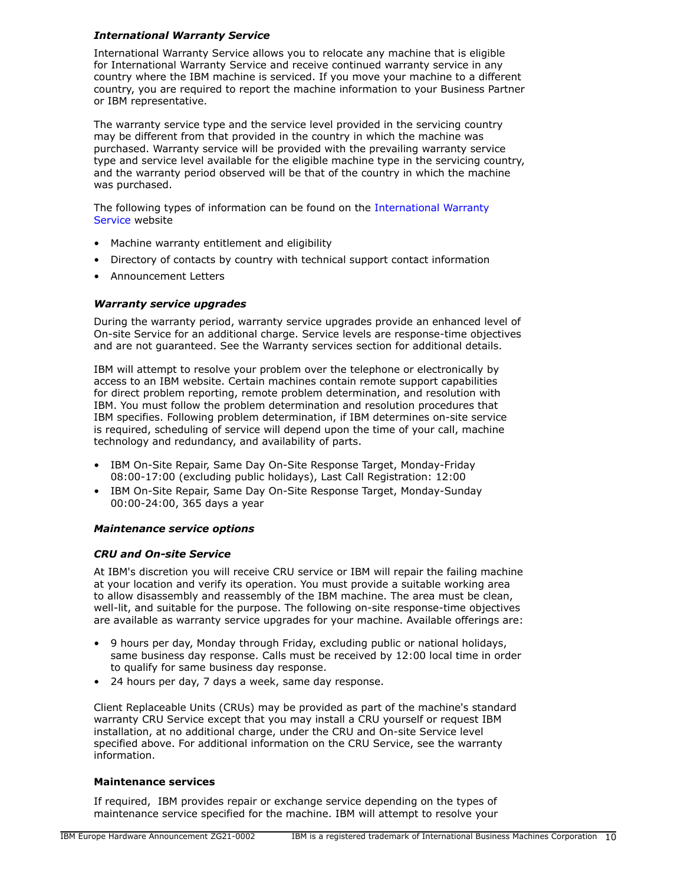## *International Warranty Service*

International Warranty Service allows you to relocate any machine that is eligible for International Warranty Service and receive continued warranty service in any country where the IBM machine is serviced. If you move your machine to a different country, you are required to report the machine information to your Business Partner or IBM representative.

The warranty service type and the service level provided in the servicing country may be different from that provided in the country in which the machine was purchased. Warranty service will be provided with the prevailing warranty service type and service level available for the eligible machine type in the servicing country, and the warranty period observed will be that of the country in which the machine was purchased.

The following types of information can be found on the [International Warranty](https://www.ibm.com/systems/support/machine_warranties/iws.html) [Service](https://www.ibm.com/systems/support/machine_warranties/iws.html) website

- Machine warranty entitlement and eligibility
- Directory of contacts by country with technical support contact information
- Announcement Letters

# *Warranty service upgrades*

During the warranty period, warranty service upgrades provide an enhanced level of On-site Service for an additional charge. Service levels are response-time objectives and are not guaranteed. See the Warranty services section for additional details.

IBM will attempt to resolve your problem over the telephone or electronically by access to an IBM website. Certain machines contain remote support capabilities for direct problem reporting, remote problem determination, and resolution with IBM. You must follow the problem determination and resolution procedures that IBM specifies. Following problem determination, if IBM determines on-site service is required, scheduling of service will depend upon the time of your call, machine technology and redundancy, and availability of parts.

- IBM On-Site Repair, Same Day On-Site Response Target, Monday-Friday 08:00-17:00 (excluding public holidays), Last Call Registration: 12:00
- IBM On-Site Repair, Same Day On-Site Response Target, Monday-Sunday 00:00-24:00, 365 days a year

## *Maintenance service options*

## *CRU and On-site Service*

At IBM's discretion you will receive CRU service or IBM will repair the failing machine at your location and verify its operation. You must provide a suitable working area to allow disassembly and reassembly of the IBM machine. The area must be clean, well-lit, and suitable for the purpose. The following on-site response-time objectives are available as warranty service upgrades for your machine. Available offerings are:

- 9 hours per day, Monday through Friday, excluding public or national holidays, same business day response. Calls must be received by 12:00 local time in order to qualify for same business day response.
- 24 hours per day, 7 days a week, same day response.

Client Replaceable Units (CRUs) may be provided as part of the machine's standard warranty CRU Service except that you may install a CRU yourself or request IBM installation, at no additional charge, under the CRU and On-site Service level specified above. For additional information on the CRU Service, see the warranty information.

## **Maintenance services**

If required, IBM provides repair or exchange service depending on the types of maintenance service specified for the machine. IBM will attempt to resolve your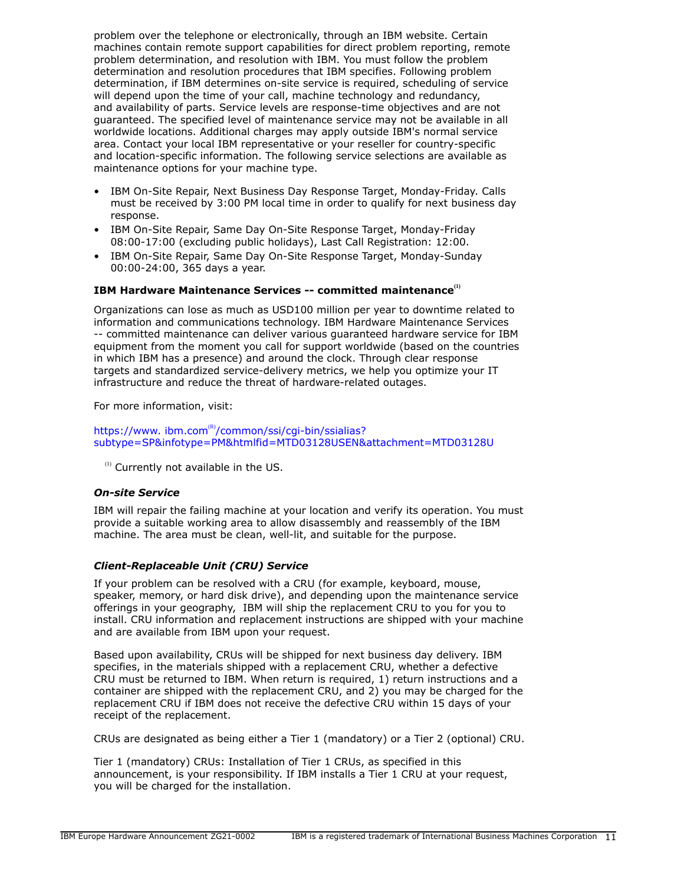problem over the telephone or electronically, through an IBM website. Certain machines contain remote support capabilities for direct problem reporting, remote problem determination, and resolution with IBM. You must follow the problem determination and resolution procedures that IBM specifies. Following problem determination, if IBM determines on-site service is required, scheduling of service will depend upon the time of your call, machine technology and redundancy, and availability of parts. Service levels are response-time objectives and are not guaranteed. The specified level of maintenance service may not be available in all worldwide locations. Additional charges may apply outside IBM's normal service area. Contact your local IBM representative or your reseller for country-specific and location-specific information. The following service selections are available as maintenance options for your machine type.

- IBM On-Site Repair, Next Business Day Response Target, Monday-Friday. Calls must be received by 3:00 PM local time in order to qualify for next business day response.
- IBM On-Site Repair, Same Day On-Site Response Target, Monday-Friday 08:00-17:00 (excluding public holidays), Last Call Registration: 12:00.
- IBM On-Site Repair, Same Day On-Site Response Target, Monday-Sunday 00:00-24:00, 365 days a year.

## **IBM Hardware Maintenance Services -- committed maintenance(1)**

Organizations can lose as much as USD100 million per year to downtime related to information and communications technology. IBM Hardware Maintenance Services -- committed maintenance can deliver various guaranteed hardware service for IBM equipment from the moment you call for support worldwide (based on the countries in which IBM has a presence) and around the clock. Through clear response targets and standardized service-delivery metrics, we help you optimize your IT infrastructure and reduce the threat of hardware-related outages.

For more information, visit:

https://www.ibm.com®[/common/ssi/cgi-bin/ssialias?](https://www.ibm.com/common/ssi/cgi-bin/ssialias?subtype=SP&infotype=PM&htmlfid=MTD03128USEN&attachment=MTD03128U) [subtype=SP&infotype=PM&htmlfid=MTD03128USEN&attachment=MTD03128U](https://www.ibm.com/common/ssi/cgi-bin/ssialias?subtype=SP&infotype=PM&htmlfid=MTD03128USEN&attachment=MTD03128U)

<sup>(1)</sup> Currently not available in the US.

## *On-site Service*

IBM will repair the failing machine at your location and verify its operation. You must provide a suitable working area to allow disassembly and reassembly of the IBM machine. The area must be clean, well-lit, and suitable for the purpose.

## *Client-Replaceable Unit (CRU) Service*

If your problem can be resolved with a CRU (for example, keyboard, mouse, speaker, memory, or hard disk drive), and depending upon the maintenance service offerings in your geography, IBM will ship the replacement CRU to you for you to install. CRU information and replacement instructions are shipped with your machine and are available from IBM upon your request.

Based upon availability, CRUs will be shipped for next business day delivery. IBM specifies, in the materials shipped with a replacement CRU, whether a defective CRU must be returned to IBM. When return is required, 1) return instructions and a container are shipped with the replacement CRU, and 2) you may be charged for the replacement CRU if IBM does not receive the defective CRU within 15 days of your receipt of the replacement.

CRUs are designated as being either a Tier 1 (mandatory) or a Tier 2 (optional) CRU.

Tier 1 (mandatory) CRUs: Installation of Tier 1 CRUs, as specified in this announcement, is your responsibility. If IBM installs a Tier 1 CRU at your request, you will be charged for the installation.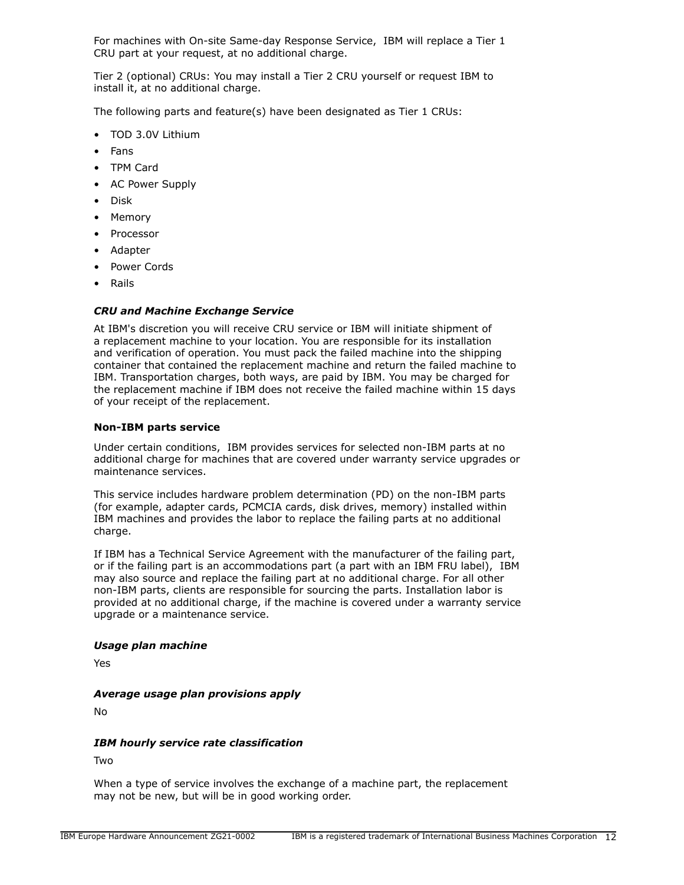For machines with On-site Same-day Response Service, IBM will replace a Tier 1 CRU part at your request, at no additional charge.

Tier 2 (optional) CRUs: You may install a Tier 2 CRU yourself or request IBM to install it, at no additional charge.

The following parts and feature(s) have been designated as Tier 1 CRUs:

- TOD 3.0V Lithium
- Fans
- TPM Card
- AC Power Supply
- Disk
- Memory
- **Processor**
- Adapter
- Power Cords
- Rails

## *CRU and Machine Exchange Service*

At IBM's discretion you will receive CRU service or IBM will initiate shipment of a replacement machine to your location. You are responsible for its installation and verification of operation. You must pack the failed machine into the shipping container that contained the replacement machine and return the failed machine to IBM. Transportation charges, both ways, are paid by IBM. You may be charged for the replacement machine if IBM does not receive the failed machine within 15 days of your receipt of the replacement.

#### **Non-IBM parts service**

Under certain conditions, IBM provides services for selected non-IBM parts at no additional charge for machines that are covered under warranty service upgrades or maintenance services.

This service includes hardware problem determination (PD) on the non-IBM parts (for example, adapter cards, PCMCIA cards, disk drives, memory) installed within IBM machines and provides the labor to replace the failing parts at no additional charge.

If IBM has a Technical Service Agreement with the manufacturer of the failing part, or if the failing part is an accommodations part (a part with an IBM FRU label), IBM may also source and replace the failing part at no additional charge. For all other non-IBM parts, clients are responsible for sourcing the parts. Installation labor is provided at no additional charge, if the machine is covered under a warranty service upgrade or a maintenance service.

#### *Usage plan machine*

Yes

#### *Average usage plan provisions apply*

No

#### *IBM hourly service rate classification*

Two

When a type of service involves the exchange of a machine part, the replacement may not be new, but will be in good working order.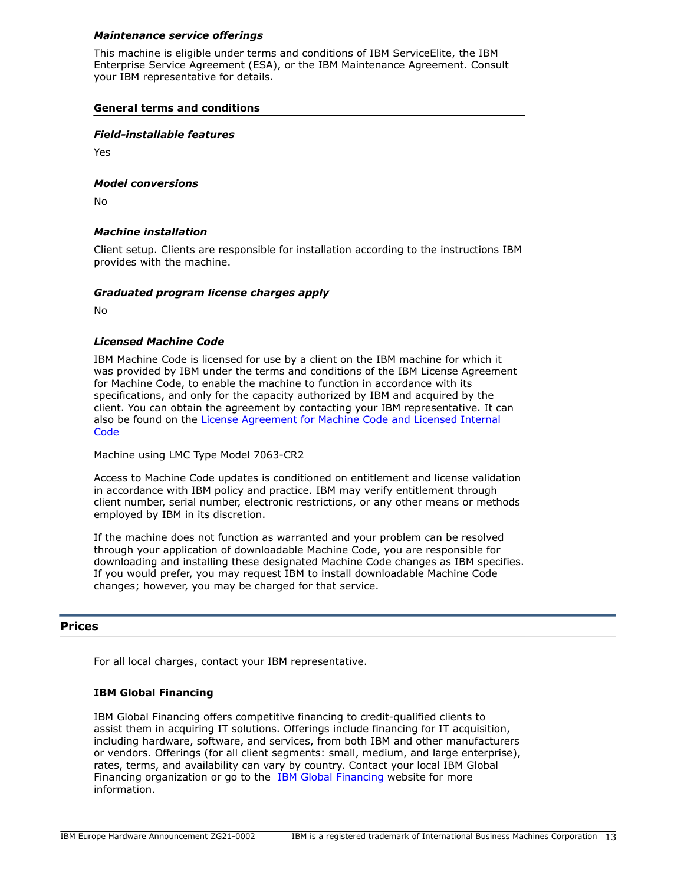## *Maintenance service offerings*

This machine is eligible under terms and conditions of IBM ServiceElite, the IBM Enterprise Service Agreement (ESA), or the IBM Maintenance Agreement. Consult your IBM representative for details.

## **General terms and conditions**

#### *Field-installable features*

Yes

#### *Model conversions*

No

#### *Machine installation*

Client setup. Clients are responsible for installation according to the instructions IBM provides with the machine.

#### *Graduated program license charges apply*

No

## *Licensed Machine Code*

IBM Machine Code is licensed for use by a client on the IBM machine for which it was provided by IBM under the terms and conditions of the IBM License Agreement for Machine Code, to enable the machine to function in accordance with its specifications, and only for the capacity authorized by IBM and acquired by the client. You can obtain the agreement by contacting your IBM representative. It can also be found on the [License Agreement for Machine Code and Licensed Internal](http://www.ibm.com/systems/support/machine_warranties/machine_code.html) **[Code](http://www.ibm.com/systems/support/machine_warranties/machine_code.html)** 

Machine using LMC Type Model 7063-CR2

Access to Machine Code updates is conditioned on entitlement and license validation in accordance with IBM policy and practice. IBM may verify entitlement through client number, serial number, electronic restrictions, or any other means or methods employed by IBM in its discretion.

If the machine does not function as warranted and your problem can be resolved through your application of downloadable Machine Code, you are responsible for downloading and installing these designated Machine Code changes as IBM specifies. If you would prefer, you may request IBM to install downloadable Machine Code changes; however, you may be charged for that service.

## <span id="page-12-0"></span>**Prices**

For all local charges, contact your IBM representative.

#### **IBM Global Financing**

IBM Global Financing offers competitive financing to credit-qualified clients to assist them in acquiring IT solutions. Offerings include financing for IT acquisition, including hardware, software, and services, from both IBM and other manufacturers or vendors. Offerings (for all client segments: small, medium, and large enterprise), rates, terms, and availability can vary by country. Contact your local IBM Global Financing organization or go to the [IBM Global Financing](http://www.ibm.com/financing) website for more information.